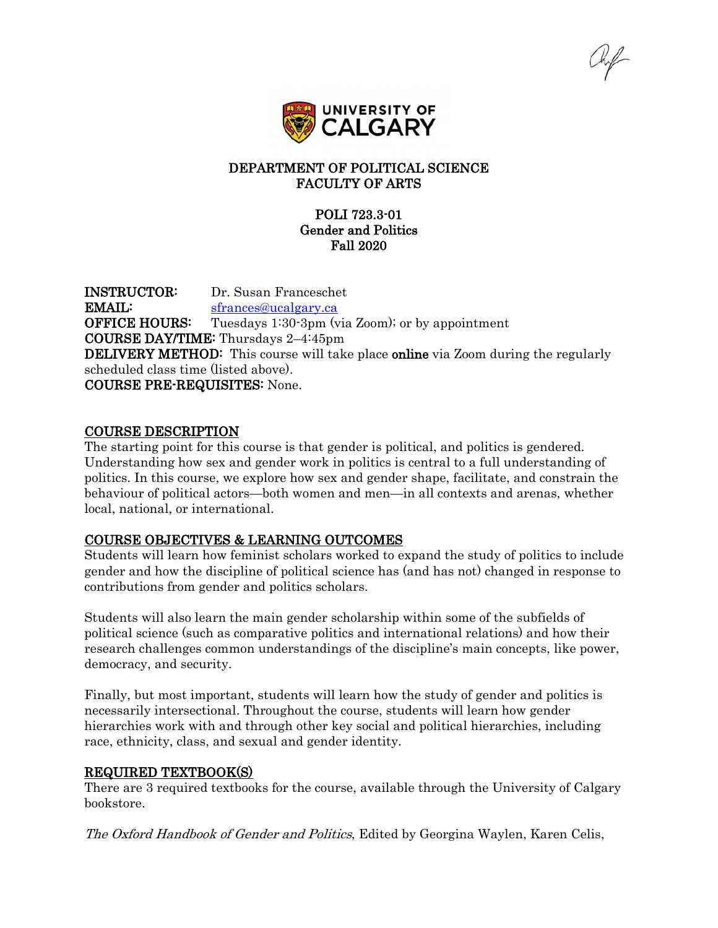

## DEPARTMENT OF POLITICAL SCIENCE FACULTY OF ARTS

# POLI 723.3-01 Gender and Politics Fall 2020

INSTRUCTOR: Dr. Susan Franceschet EMAIL: [sfrances@ucalgary.ca](mailto:sfrances@ucalgary.ca) **OFFICE HOURS:** Tuesdays 1:30-3pm (via Zoom); or by appointment COURSE DAY/TIME: Thursdays 2–4:45pm **DELIVERY METHOD:** This course will take place **online** via Zoom during the regularly scheduled class time (listed above). COURSE PRE-REQUISITES: None.

#### COURSE DESCRIPTION

The starting point for this course is that gender is political, and politics is gendered. Understanding how sex and gender work in politics is central to a full understanding of politics. In this course, we explore how sex and gender shape, facilitate, and constrain the behaviour of political actors—both women and men—in all contexts and arenas, whether local, national, or international.

#### COURSE OBJECTIVES & LEARNING OUTCOMES

Students will learn how feminist scholars worked to expand the study of politics to include gender and how the discipline of political science has (and has not) changed in response to contributions from gender and politics scholars.

Students will also learn the main gender scholarship within some of the subfields of political science (such as comparative politics and international relations) and how their research challenges common understandings of the discipline's main concepts, like power, democracy, and security.

Finally, but most important, students will learn how the study of gender and politics is necessarily intersectional. Throughout the course, students will learn how gender hierarchies work with and through other key social and political hierarchies, including race, ethnicity, class, and sexual and gender identity.

#### REQUIRED TEXTBOOK(S)

There are 3 required textbooks for the course, available through the University of Calgary bookstore.

The Oxford Handbook of Gender and Politics, Edited by Georgina Waylen, Karen Celis,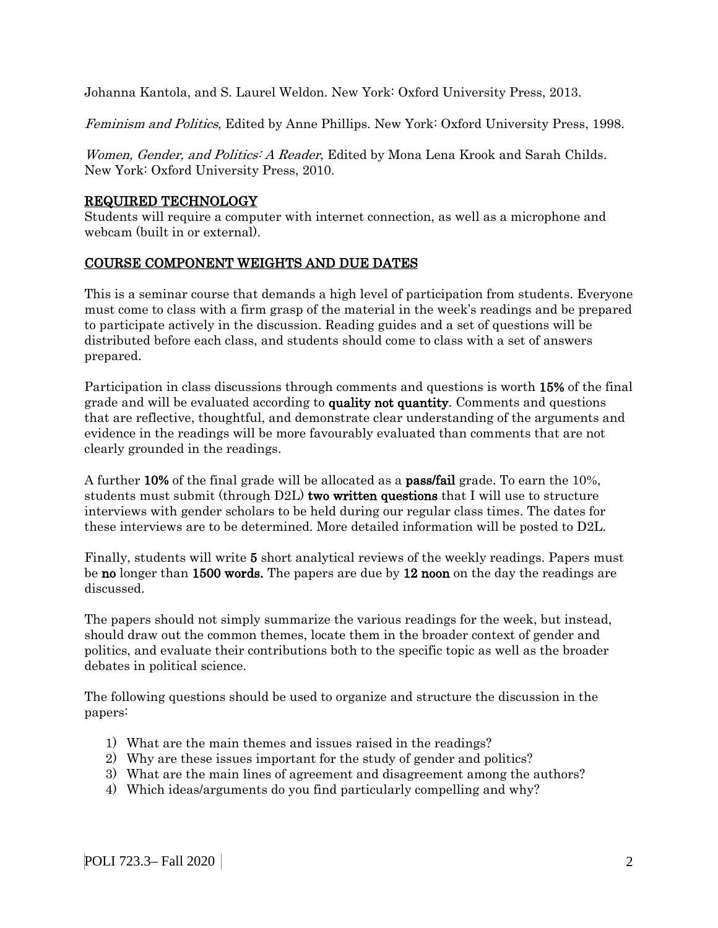Johanna Kantola, and S. Laurel Weldon. New York: Oxford University Press, 2013.

Feminism and Politics, Edited by Anne Phillips. New York: Oxford University Press, 1998.

Women, Gender, and Politics: A Reader, Edited by Mona Lena Krook and Sarah Childs. New York: Oxford University Press, 2010.

## REQUIRED TECHNOLOGY

Students will require a computer with internet connection, as well as a microphone and webcam (built in or external).

# COURSE COMPONENT WEIGHTS AND DUE DATES

This is a seminar course that demands a high level of participation from students. Everyone must come to class with a firm grasp of the material in the week's readings and be prepared to participate actively in the discussion. Reading guides and a set of questions will be distributed before each class, and students should come to class with a set of answers prepared.

Participation in class discussions through comments and questions is worth 15% of the final grade and will be evaluated according to **quality not quantity**. Comments and questions that are reflective, thoughtful, and demonstrate clear understanding of the arguments and evidence in the readings will be more favourably evaluated than comments that are not clearly grounded in the readings.

A further 10% of the final grade will be allocated as a pass/fail grade. To earn the 10%, students must submit (through D2L) two written questions that I will use to structure interviews with gender scholars to be held during our regular class times. The dates for these interviews are to be determined. More detailed information will be posted to D2L.

Finally, students will write 5 short analytical reviews of the weekly readings. Papers must be no longer than 1500 words. The papers are due by 12 noon on the day the readings are discussed.

The papers should not simply summarize the various readings for the week, but instead, should draw out the common themes, locate them in the broader context of gender and politics, and evaluate their contributions both to the specific topic as well as the broader debates in political science.

The following questions should be used to organize and structure the discussion in the papers:

- 1) What are the main themes and issues raised in the readings?
- 2) Why are these issues important for the study of gender and politics?
- 3) What are the main lines of agreement and disagreement among the authors?
- 4) Which ideas/arguments do you find particularly compelling and why?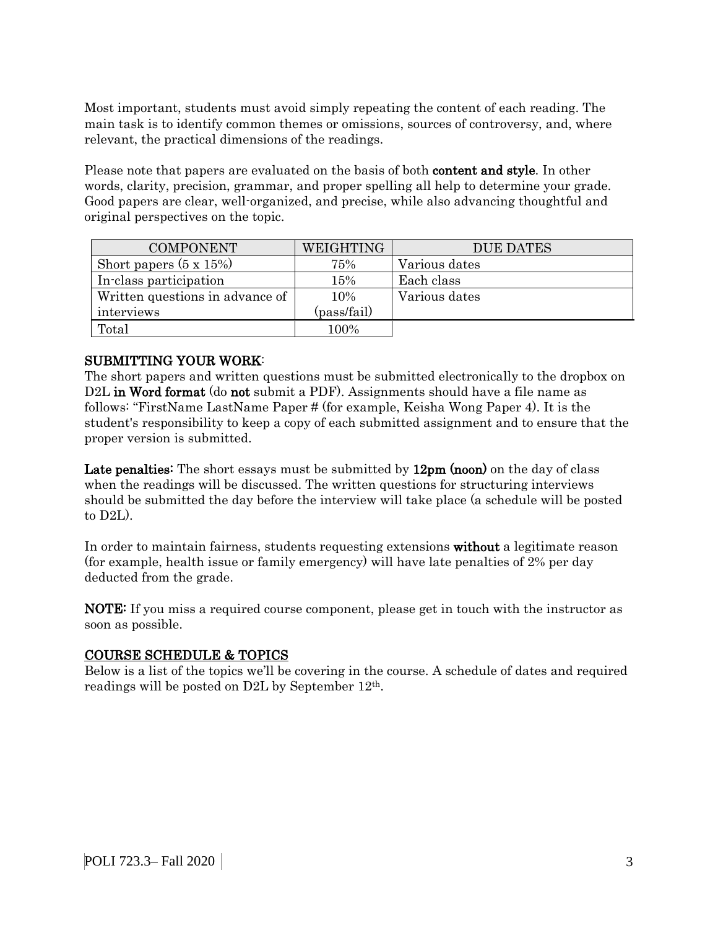Most important, students must avoid simply repeating the content of each reading. The main task is to identify common themes or omissions, sources of controversy, and, where relevant, the practical dimensions of the readings.

Please note that papers are evaluated on the basis of both content and style. In other words, clarity, precision, grammar, and proper spelling all help to determine your grade. Good papers are clear, well-organized, and precise, while also advancing thoughtful and original perspectives on the topic.

| <b>COMPONENT</b>                | WEIGHTING   | <b>DUE DATES</b> |
|---------------------------------|-------------|------------------|
| Short papers $(5 \times 15\%)$  | 75%         | Various dates    |
| In-class participation          | 15%         | Each class       |
| Written questions in advance of | 10%         | Various dates    |
| interviews                      | (pass/fail) |                  |
| Total                           | 100%        |                  |

## SUBMITTING YOUR WORK:

The short papers and written questions must be submitted electronically to the dropbox on D2L in Word format (do not submit a PDF). Assignments should have a file name as follows: "FirstName LastName Paper # (for example, Keisha Wong Paper 4). It is the student's responsibility to keep a copy of each submitted assignment and to ensure that the proper version is submitted.

Late penalties: The short essays must be submitted by 12pm (noon) on the day of class when the readings will be discussed. The written questions for structuring interviews should be submitted the day before the interview will take place (a schedule will be posted to D2L).

In order to maintain fairness, students requesting extensions without a legitimate reason (for example, health issue or family emergency) will have late penalties of 2% per day deducted from the grade.

NOTE: If you miss a required course component, please get in touch with the instructor as soon as possible.

#### COURSE SCHEDULE & TOPICS

Below is a list of the topics we'll be covering in the course. A schedule of dates and required readings will be posted on D2L by September 12th.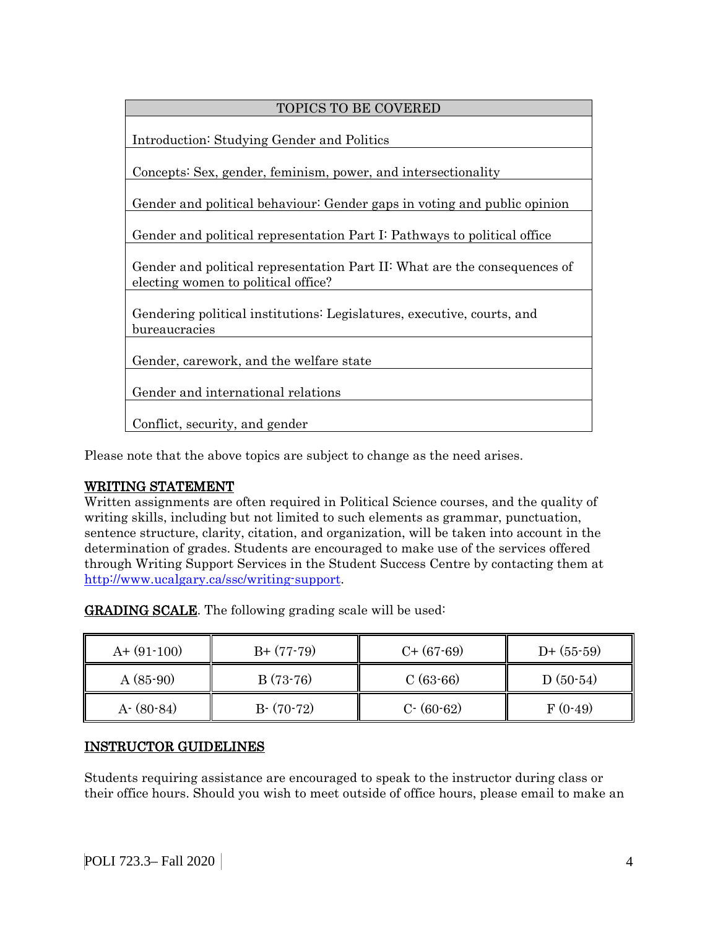# TOPICS TO BE COVERED Introduction: Studying Gender and Politics Concepts: Sex, gender, feminism, power, and intersectionality Gender and political behaviour: Gender gaps in voting and public opinion Gender and political representation Part I: Pathways to political office Gender and political representation Part II: What are the consequences of electing women to political office? Gendering political institutions: Legislatures, executive, courts, and bureaucracies Gender, carework, and the welfare state Gender and international relations Conflict, security, and gender

Please note that the above topics are subject to change as the need arises.

# WRITING STATEMENT

Written assignments are often required in Political Science courses, and the quality of writing skills, including but not limited to such elements as grammar, punctuation, sentence structure, clarity, citation, and organization, will be taken into account in the determination of grades. Students are encouraged to make use of the services offered through Writing Support Services in the Student Success Centre by contacting them at [http://www.ucalgary.ca/ssc/writing-support.](http://www.ucalgary.ca/ssc/writing-support)

| $A+ (91-100)$ | $B+ (77-79)$ | $C+$ (67-69)  | $D+$ (55-59) |
|---------------|--------------|---------------|--------------|
| $A(85-90)$    | $B(73-76)$   | $C(63-66)$    | $D(50-54)$   |
| $A - (80-84)$ | $B-(70-72)$  | $C - (60-62)$ | $F(0-49)$    |

GRADING SCALE. The following grading scale will be used:

# INSTRUCTOR GUIDELINES

Students requiring assistance are encouraged to speak to the instructor during class or their office hours. Should you wish to meet outside of office hours, please email to make an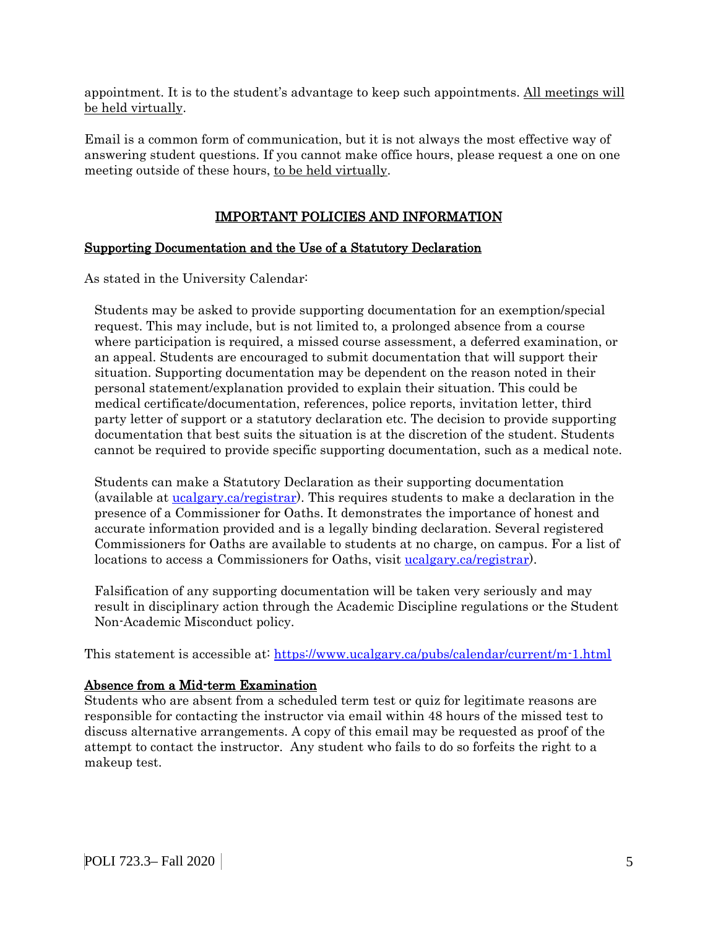appointment. It is to the student's advantage to keep such appointments. All meetings will be held virtually.

Email is a common form of communication, but it is not always the most effective way of answering student questions. If you cannot make office hours, please request a one on one meeting outside of these hours, to be held virtually.

# IMPORTANT POLICIES AND INFORMATION

# Supporting Documentation and the Use of a Statutory Declaration

As stated in the University Calendar:

Students may be asked to provide supporting documentation for an exemption/special request. This may include, but is not limited to, a prolonged absence from a course where participation is required, a missed course assessment, a deferred examination, or an appeal. Students are encouraged to submit documentation that will support their situation. Supporting documentation may be dependent on the reason noted in their personal statement/explanation provided to explain their situation. This could be medical certificate/documentation, references, police reports, invitation letter, third party letter of support or a statutory declaration etc. The decision to provide supporting documentation that best suits the situation is at the discretion of the student. Students cannot be required to provide specific supporting documentation, such as a medical note.

Students can make a Statutory Declaration as their supporting documentation (available at [ucalgary.ca/registrar\)](http://www.ucalgary.ca/registrar). This requires students to make a declaration in the presence of a Commissioner for Oaths. It demonstrates the importance of honest and accurate information provided and is a legally binding declaration. Several registered Commissioners for Oaths are available to students at no charge, on campus. For a list of locations to access a Commissioners for Oaths, visit [ucalgary.ca/registrar\)](http://www.ucalgary.ca/registrar).

Falsification of any supporting documentation will be taken very seriously and may result in disciplinary action through the Academic Discipline regulations or the Student Non-Academic Misconduct policy.

This statement is accessible at:<https://www.ucalgary.ca/pubs/calendar/current/m-1.html>

#### Absence from a Mid-term Examination

Students who are absent from a scheduled term test or quiz for legitimate reasons are responsible for contacting the instructor via email within 48 hours of the missed test to discuss alternative arrangements. A copy of this email may be requested as proof of the attempt to contact the instructor. Any student who fails to do so forfeits the right to a makeup test.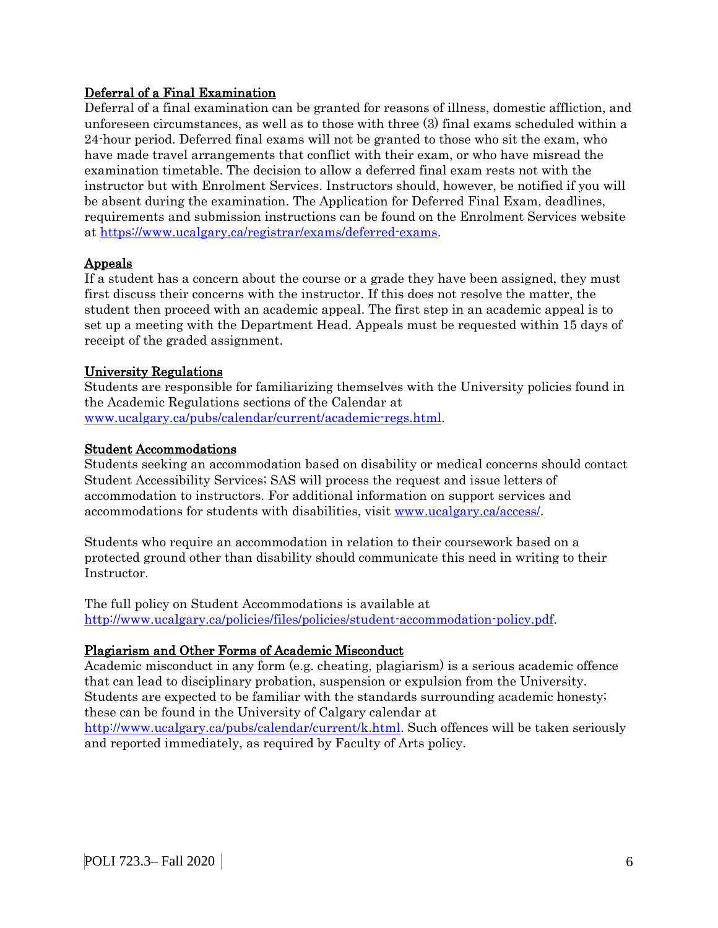## Deferral of a Final Examination

Deferral of a final examination can be granted for reasons of illness, domestic affliction, and unforeseen circumstances, as well as to those with three (3) final exams scheduled within a 24-hour period. Deferred final exams will not be granted to those who sit the exam, who have made travel arrangements that conflict with their exam, or who have misread the examination timetable. The decision to allow a deferred final exam rests not with the instructor but with Enrolment Services. Instructors should, however, be notified if you will be absent during the examination. The Application for Deferred Final Exam, deadlines, requirements and submission instructions can be found on the Enrolment Services website at [https://www.ucalgary.ca/registrar/exams/deferred-exams.](https://www.ucalgary.ca/registrar/exams/deferred-exams)

## Appeals

If a student has a concern about the course or a grade they have been assigned, they must first discuss their concerns with the instructor. If this does not resolve the matter, the student then proceed with an academic appeal. The first step in an academic appeal is to set up a meeting with the Department Head. Appeals must be requested within 15 days of receipt of the graded assignment.

#### University Regulations

Students are responsible for familiarizing themselves with the University policies found in the Academic Regulations sections of the Calendar at [www.ucalgary.ca/pubs/calendar/current/academic-regs.html.](http://www.ucalgary.ca/pubs/calendar/current/academic-regs.html)

#### Student Accommodations

Students seeking an accommodation based on disability or medical concerns should contact Student Accessibility Services; SAS will process the request and issue letters of accommodation to instructors. For additional information on support services and accommodations for students with disabilities, visit [www.ucalgary.ca/access/.](http://www.ucalgary.ca/access/)

Students who require an accommodation in relation to their coursework based on a protected ground other than disability should communicate this need in writing to their Instructor.

The full policy on Student Accommodations is available at [http://www.ucalgary.ca/policies/files/policies/student-accommodation-policy.pdf.](http://www.ucalgary.ca/policies/files/policies/student-accommodation-policy.pdf)

#### Plagiarism and Other Forms of Academic Misconduct

Academic misconduct in any form (e.g. cheating, plagiarism) is a serious academic offence that can lead to disciplinary probation, suspension or expulsion from the University. Students are expected to be familiar with the standards surrounding academic honesty; these can be found in the University of Calgary calendar at

[http://www.ucalgary.ca/pubs/calendar/current/k.html.](http://www.ucalgary.ca/pubs/calendar/current/k.html) Such offences will be taken seriously and reported immediately, as required by Faculty of Arts policy.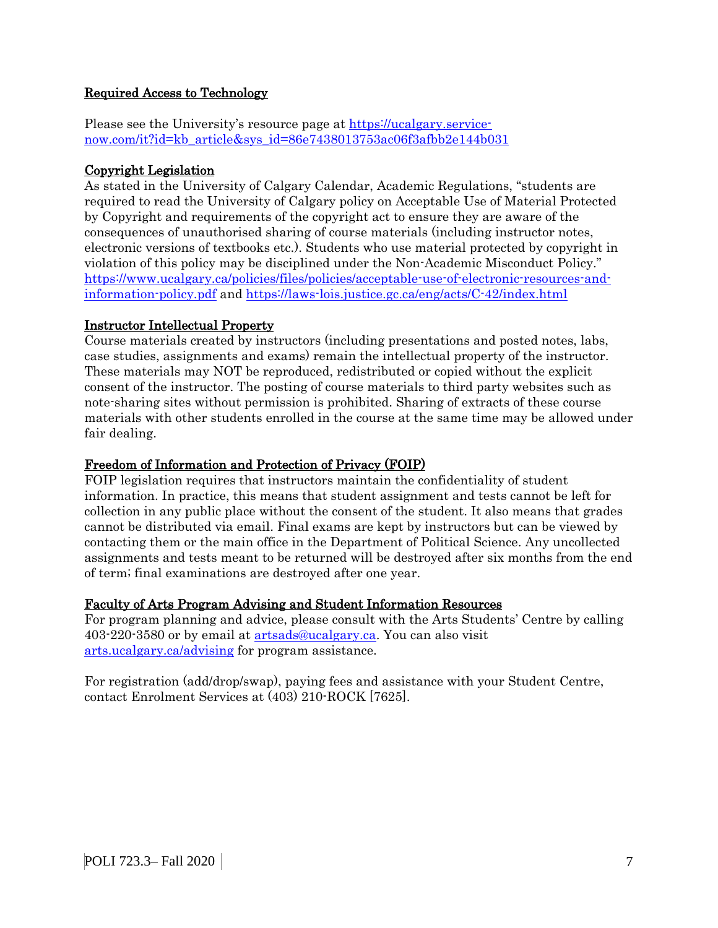# Required Access to Technology

Please see the University's resource page at [https://ucalgary.service](https://ucalgary.service-now.com/it?id=kb_article&sys_id=86e7438013753ac06f3afbb2e144b031)[now.com/it?id=kb\\_article&sys\\_id=86e7438013753ac06f3afbb2e144b031](https://ucalgary.service-now.com/it?id=kb_article&sys_id=86e7438013753ac06f3afbb2e144b031)

# Copyright Legislation

As stated in the University of Calgary Calendar, Academic Regulations, "students are required to read the University of Calgary policy on Acceptable Use of Material Protected by Copyright and requirements of the copyright act to ensure they are aware of the consequences of unauthorised sharing of course materials (including instructor notes, electronic versions of textbooks etc.). Students who use material protected by copyright in violation of this policy may be disciplined under the Non-Academic Misconduct Policy." [https://www.ucalgary.ca/policies/files/policies/acceptable-use-of-electronic-resources-and](https://www.ucalgary.ca/policies/files/policies/acceptable-use-of-electronic-resources-and-information-policy.pdf)[information-policy.pdf](https://www.ucalgary.ca/policies/files/policies/acceptable-use-of-electronic-resources-and-information-policy.pdf) and<https://laws-lois.justice.gc.ca/eng/acts/C-42/index.html>

## Instructor Intellectual Property

Course materials created by instructors (including presentations and posted notes, labs, case studies, assignments and exams) remain the intellectual property of the instructor. These materials may NOT be reproduced, redistributed or copied without the explicit consent of the instructor. The posting of course materials to third party websites such as note-sharing sites without permission is prohibited. Sharing of extracts of these course materials with other students enrolled in the course at the same time may be allowed under fair dealing.

## Freedom of Information and Protection of Privacy (FOIP)

FOIP legislation requires that instructors maintain the confidentiality of student information. In practice, this means that student assignment and tests cannot be left for collection in any public place without the consent of the student. It also means that grades cannot be distributed via email. Final exams are kept by instructors but can be viewed by contacting them or the main office in the Department of Political Science. Any uncollected assignments and tests meant to be returned will be destroyed after six months from the end of term; final examinations are destroyed after one year.

#### Faculty of Arts Program Advising and Student Information Resources

For program planning and advice, please consult with the Arts Students' Centre by calling 403-220-3580 or by email at [artsads@ucalgary.ca.](mailto:artsads@ucalgary.ca) You can also visit [arts.ucalgary.ca/advising](http://arts.ucalgary.ca/advising) for program assistance.

For registration (add/drop/swap), paying fees and assistance with your Student Centre, contact Enrolment Services at (403) 210-ROCK [7625].